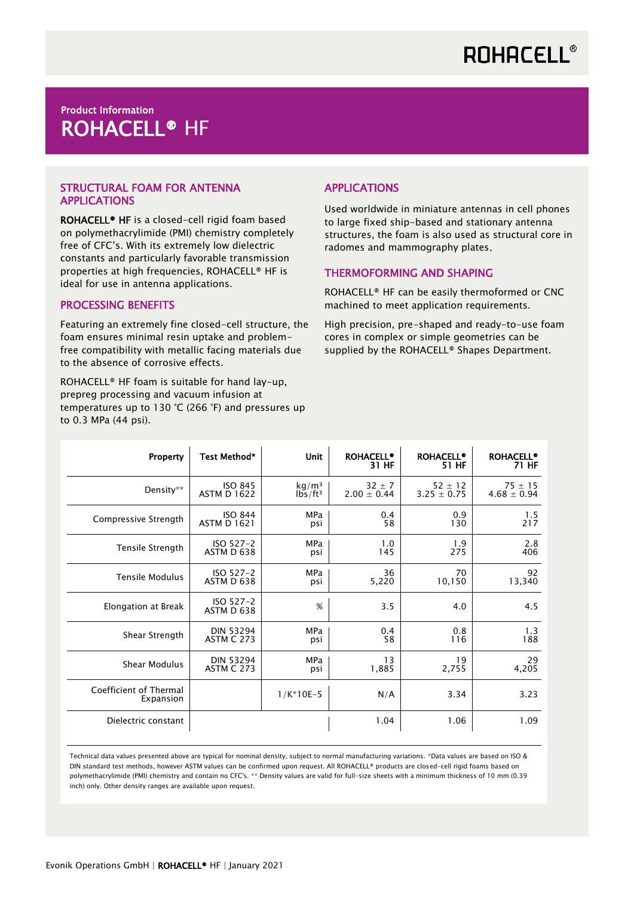## **ROHACELL®**

### Product Information ROHACELL® HF

#### STRUCTURAL FOAM FOR ANTENNA APPLICATIONS

ROHACELL® HF is a closed-cell rigid foam based on polymethacrylimide (PMI) chemistry completely free of CFC's. With its extremely low dielectric constants and particularly favorable transmission properties at high frequencies, ROHACELL® HF is ideal for use in antenna applications.

#### PROCESSING BENEFITS

Featuring an extremely fine closed-cell structure, the foam ensures minimal resin uptake and problemfree compatibility with metallic facing materials due to the absence of corrosive effects.

ROHACELL® HF foam is suitable for hand lay-up, prepreg processing and vacuum infusion at temperatures up to 130 °C (266 °F) and pressures up to 0.3 MPa (44 psi).

### APPLICATIONS

Used worldwide in miniature antennas in cell phones to large fixed ship-based and stationary antenna structures, the foam is also used as structural core in radomes and mammography plates.

#### THERMOFORMING AND SHAPING

ROHACELL® HF can be easily thermoformed or CNC machined to meet application requirements.

High precision, pre-shaped and ready-to-use foam cores in complex or simple geometries can be supplied by the ROHACELL<sup>®</sup> Shapes Department.

| <b>Property</b>                     | Test Method*              | <b>Unit</b>       | <b>ROHACELL®</b><br>31 HF | <b>ROHACELL®</b><br>51 HF | <b>ROHACELL®</b><br>71 HF |
|-------------------------------------|---------------------------|-------------------|---------------------------|---------------------------|---------------------------|
| Density**                           | <b>ISO 845</b>            | kg/m <sup>3</sup> | $32 + 7$                  | $52 \pm 12$               | $75 \pm 15$               |
|                                     | <b>ASTM D 1622</b>        | $1b5/ft^3$        | $2.00 \pm 0.44$           | $3.25 \pm 0.75$           | $4.68 \pm 0.94$           |
| Compressive Strength                | <b>ISO 844</b>            | MPa               | 0.4                       | 0.9                       | 1.5                       |
|                                     | <b>ASTM D 1621</b>        | psi               | 58                        | 130                       | 217                       |
| Tensile Strength                    | $ISO 527-2$               | <b>MPa</b>        | 1.0                       | 1.9                       | 2.8                       |
|                                     | ASTM D 638                | psi               | 145                       | 275                       | 406                       |
| <b>Tensile Modulus</b>              | ISO 527-2                 | MPa               | 36                        | 70                        | 92                        |
|                                     | ASTM D 638                | psi               | 5,220                     | 10,150                    | 13,340                    |
| Elongation at Break                 | $ISO 527-2$<br>ASTM D 638 | %                 | 3.5                       | 4.0                       | 4.5                       |
| Shear Strength                      | <b>DIN 53294</b>          | MPa               | 0.4                       | 0.8                       | 1.3                       |
|                                     | <b>ASTM C 273</b>         | psi               | 58                        | 116                       | 188                       |
| Shear Modulus                       | <b>DIN 53294</b>          | <b>MPa</b>        | 13                        | 19                        | 29                        |
|                                     | <b>ASTM C 273</b>         | psi               | 1,885                     | 2,755                     | 4,205                     |
| Coefficient of Thermal<br>Expansion |                           | $1/K*10E-5$       | N/A                       | 3.34                      | 3.23                      |
| Dielectric constant                 |                           |                   | 1.04                      | 1.06                      | 1.09                      |

Technical data values presented above are typical for nominal density, subject to normal manufacturing variations. \*Data values are based on ISO & DIN standard test methods, however ASTM values can be confirmed upon request. All ROHACELL® products are closed-cell rigid foams based on polymethacrylimide (PMI) chemistry and contain no CFC's. \*\* Density values are valid for full-size sheets with a minimum thickness of 10 mm (0.39 inch) only. Other density ranges are available upon request.